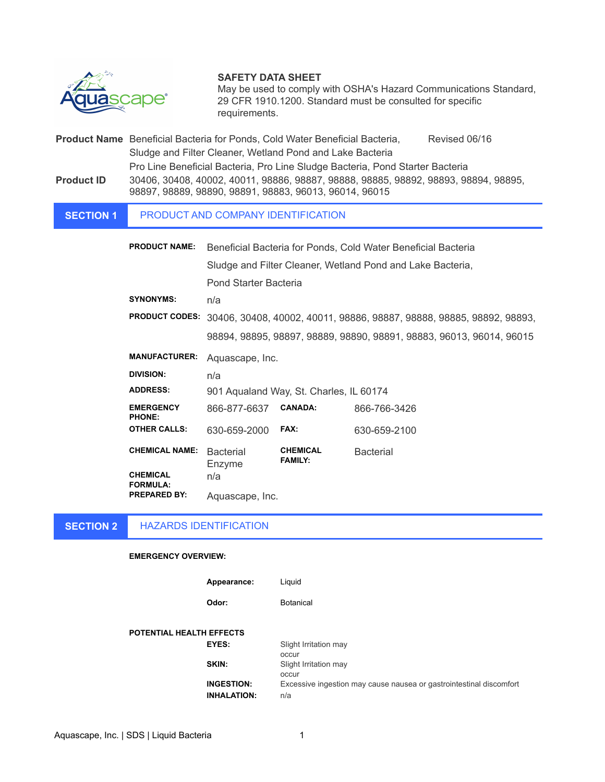

# **SAFETY DATA SHEET**

May be used to comply with OSHA's Hazard Communications Standard, 29 CFR 1910.1200. Standard must be consulted for specific requirements.

**Product Name** Beneficial Bacteria for Ponds, Cold Water Beneficial Bacteria, Revised 06/16 Sludge and Filter Cleaner, Wetland Pond and Lake Bacteria Pro Line Beneficial Bacteria, Pro Line Sludge Bacteria, Pond Starter Bacteria **Product ID** 30406, 30408, 40002, 40011, 98886, 98887, 98888, 98885, 98892, 98893, 98894, 98895, 98897, 98889, 98890, 98891, 98883, 96013, 96014, 96015

#### **SECTION 1** PRODUCT AND COMPANY IDENTIFICATION

| <b>PRODUCT NAME:</b>                   | Beneficial Bacteria for Ponds, Cold Water Beneficial Bacteria         |                                   |                                                                      |
|----------------------------------------|-----------------------------------------------------------------------|-----------------------------------|----------------------------------------------------------------------|
|                                        |                                                                       |                                   |                                                                      |
|                                        | Sludge and Filter Cleaner, Wetland Pond and Lake Bacteria,            |                                   |                                                                      |
|                                        | Pond Starter Bacteria                                                 |                                   |                                                                      |
| <b>SYNONYMS:</b>                       | n/a                                                                   |                                   |                                                                      |
| <b>PRODUCT CODES:</b>                  | 30406, 30408, 40002, 40011, 98886, 98887, 98888, 98885, 98892, 98893, |                                   |                                                                      |
|                                        |                                                                       |                                   | 98894, 98895, 98897, 98889, 98890, 98891, 98883, 96013, 96014, 96015 |
| <b>MANUFACTURER:</b>                   | Aquascape, Inc.                                                       |                                   |                                                                      |
| <b>DIVISION:</b>                       | n/a                                                                   |                                   |                                                                      |
| <b>ADDRESS:</b>                        | 901 Aqualand Way, St. Charles, IL 60174                               |                                   |                                                                      |
| <b>EMERGENCY</b><br><b>PHONE:</b>      | 866-877-6637                                                          | <b>CANADA:</b>                    | 866-766-3426                                                         |
| <b>OTHER CALLS:</b>                    | 630-659-2000                                                          | FAX:                              | 630-659-2100                                                         |
| <b>CHEMICAL NAME:</b>                  | <b>Bacterial</b><br>Enzyme                                            | <b>CHEMICAL</b><br><b>FAMILY:</b> | <b>Bacterial</b>                                                     |
| <b>CHEMICAL</b><br><b>FORMULA:</b>     | n/a                                                                   |                                   |                                                                      |
| <b>PREPARED BY:</b><br>Aquascape, Inc. |                                                                       |                                   |                                                                      |

#### **SECTION 2** HAZARDS IDENTIFICATION

## **EMERGENCY OVERVIEW:**

| Appearance: | Liquid |
|-------------|--------|

**Odor:** Botanical

**POTENTIAL HEALTH EFFECTS**

**EYES:** Slight Irritation may occur **SKIN:** Slight Irritation may occur **INGESTION:** Excessive ingestion may cause nausea or gastrointestinal discomfort **INHALATION:** n/a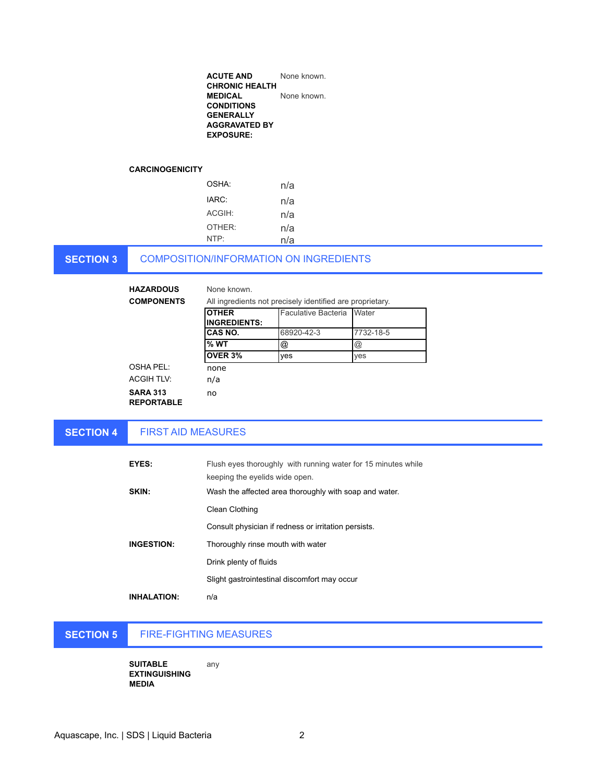| <b>ACUTE AND</b>      | None known. |
|-----------------------|-------------|
| <b>CHRONIC HEALTH</b> |             |
| <b>MEDICAL</b>        | None known. |
| <b>CONDITIONS</b>     |             |
| <b>GENERALLY</b>      |             |
| <b>AGGRAVATED BY</b>  |             |
| <b>EXPOSURE:</b>      |             |
|                       |             |

## **CARCINOGENICITY**

| OSHA <sup>.</sup>  | n/a |
|--------------------|-----|
| IARC:              | n/a |
| ACGIH:             | n/a |
| OTHER <sup>.</sup> | n/a |
| NTP:               | n/a |

**SECTION 3**

# COMPOSITION/INFORMATION ON INGREDIENTS

**HAZARDOUS**  None known.

# **COMPONENTS**

| All ingredients not precisely identified are proprietary. |                           |                      |
|-----------------------------------------------------------|---------------------------|----------------------|
| <b>OTHER</b>                                              | Faculative Bacteria Water |                      |
| <b>IINGREDIENTS:</b>                                      |                           |                      |
| ICAS NO.                                                  | 68920-42-3                | 7732-18-5            |
| l% WT                                                     | @                         | $^{\textregistered}$ |
| <b>OVER 3%</b>                                            | ves                       | ves                  |
| none                                                      |                           |                      |

OSHA PEL:

ACGIH TLV: n/a

no

**SARA 313** 

**REPORTABLE** 

### **SECTION 4** FIRST AID MEASURES

| <b>EYES:</b>       | Flush eyes thoroughly with running water for 15 minutes while<br>keeping the eyelids wide open. |
|--------------------|-------------------------------------------------------------------------------------------------|
| SKIN:              | Wash the affected area thoroughly with soap and water.                                          |
|                    | Clean Clothing                                                                                  |
|                    | Consult physician if redness or irritation persists.                                            |
| <b>INGESTION:</b>  | Thoroughly rinse mouth with water                                                               |
|                    | Drink plenty of fluids                                                                          |
|                    | Slight gastrointestinal discomfort may occur                                                    |
| <b>INHALATION:</b> | n/a                                                                                             |

### **SECTION 5** FIRE-FIGHTING MEASURES

**SUITABLE EXTINGUISHING MEDIA** any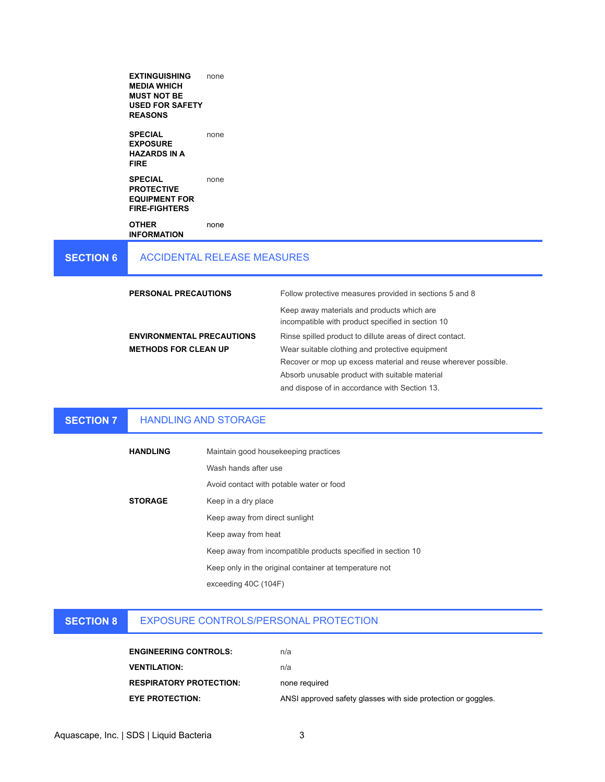|                  | <b>EXTINGUISHING</b><br><b>MEDIA WHICH</b><br><b>MUST NOT BE</b><br><b>USED FOR SAFETY</b><br><b>REASONS</b> | none                               |                                                                                                                  |
|------------------|--------------------------------------------------------------------------------------------------------------|------------------------------------|------------------------------------------------------------------------------------------------------------------|
|                  | <b>SPECIAL</b><br><b>EXPOSURE</b><br><b>HAZARDS IN A</b><br><b>FIRE</b>                                      | none                               |                                                                                                                  |
|                  | <b>SPECIAL</b><br><b>PROTECTIVE</b><br><b>EQUIPMENT FOR</b><br><b>FIRE-FIGHTERS</b>                          | none                               |                                                                                                                  |
|                  | <b>OTHER</b><br><b>INFORMATION</b>                                                                           | none                               |                                                                                                                  |
| <b>SECTION 6</b> |                                                                                                              | <b>ACCIDENTAL RELEASE MEASURES</b> |                                                                                                                  |
|                  | <b>PERSONAL PRECAUTIONS</b>                                                                                  |                                    | Follow protective measures provided in sections 5 and 8                                                          |
|                  |                                                                                                              |                                    | Keep away materials and products which are<br>incompatible with product specified in section 10                  |
|                  | <b>ENVIRONMENTAL PRECAUTIONS</b>                                                                             |                                    | Rinse spilled product to dillute areas of direct contact.                                                        |
|                  | <b>METHODS FOR CLEAN UP</b>                                                                                  |                                    | Wear suitable clothing and protective equipment                                                                  |
|                  |                                                                                                              |                                    | Recover or mop up excess material and reuse wherever possible.<br>Absorb unusable product with suitable material |
|                  |                                                                                                              |                                    | and dispose of in accordance with Section 13.                                                                    |

### **SECTION 7** HANDLING AND STORAGE

| <b>HANDLING</b> | Maintain good housekeeping practices                         |
|-----------------|--------------------------------------------------------------|
|                 | Wash hands after use                                         |
|                 | Avoid contact with potable water or food                     |
| <b>STORAGE</b>  | Keep in a dry place                                          |
|                 | Keep away from direct sunlight                               |
|                 | Keep away from heat                                          |
|                 | Keep away from incompatible products specified in section 10 |
|                 | Keep only in the original container at temperature not       |
|                 | exceeding 40C (104F)                                         |
|                 |                                                              |

### **SECTION 8** EXPOSURE CONTROLS/PERSONAL PROTECTION

| <b>ENGINEERING CONTROLS:</b>   | n/a                                                           |
|--------------------------------|---------------------------------------------------------------|
| <b>VENTILATION:</b>            | n/a                                                           |
| <b>RESPIRATORY PROTECTION:</b> | none required                                                 |
| <b>EYE PROTECTION:</b>         | ANSI approved safety glasses with side protection or goggles. |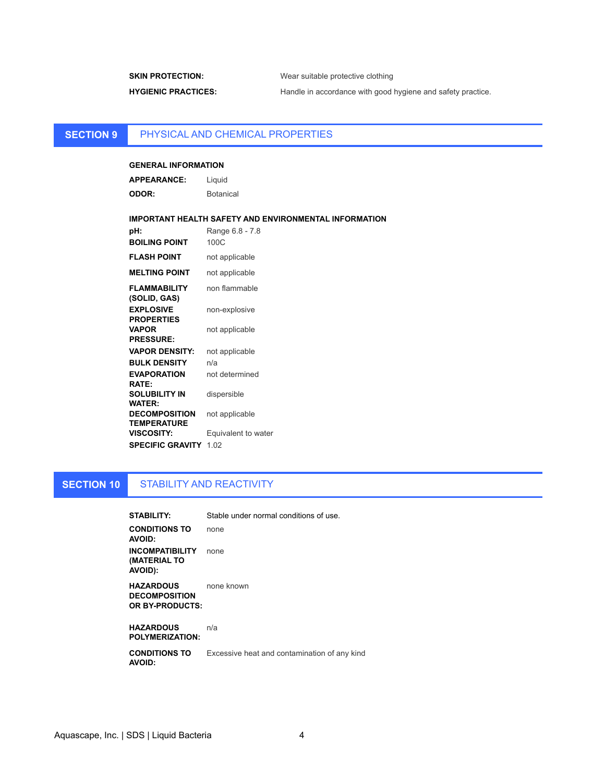**SKIN PROTECTION:** Wear suitable protective clothing HYGIENIC PRACTICES: Handle in accordance with good hygiene and safety practice.

### **SECTION 9** PHYSICAL AND CHEMICAL PROPERTIES

# **GENERAL INFORMATION**

| <b>APPEARANCE:</b> | Liquid           |
|--------------------|------------------|
| <b>ODOR:</b>       | <b>Botanical</b> |

## **IMPORTANT HEALTH SAFETY AND ENVIRONMENTAL INFORMATION**

| pH:                                        | Range 6.8 - 7.8     |
|--------------------------------------------|---------------------|
| <b>BOILING POINT</b>                       | 100C                |
| FLASH POINT                                | not applicable      |
| <b>MELTING POINT</b>                       | not applicable      |
| FLAMMABILITY<br>(SOLID, GAS)               | non flammable       |
| <b>EXPLOSIVE</b><br><b>PROPERTIES</b>      | non-explosive       |
| VAPOR<br><b>PRESSURE:</b>                  | not applicable      |
| <b>VAPOR DENSITY:</b>                      | not applicable      |
| <b>BULK DENSITY</b>                        | n/a                 |
| <b>EVAPORATION</b><br><b>RATE:</b>         | not determined      |
| SOLUBILITY IN<br><b>WATER:</b>             | dispersible         |
| <b>DECOMPOSITION</b><br><b>TEMPERATURE</b> | not applicable      |
| <b>VISCOSITY:</b>                          | Equivalent to water |
| <b>SPECIFIC GRAVITY</b>                    | 1.02                |

### **SECTION 10** STABILITY AND REACTIVITY

| <b>STABILITY:</b>                                           | Stable under normal conditions of use.       |
|-------------------------------------------------------------|----------------------------------------------|
| <b>CONDITIONS TO</b><br><b>AVOID:</b>                       | none                                         |
| <b>INCOMPATIBILITY</b><br>(MATERIAL TO<br>AVOID):           | none                                         |
| <b>HAZARDOUS</b><br><b>DECOMPOSITION</b><br>OR BY-PRODUCTS: | none known                                   |
| <b>HAZARDOUS</b><br><b>POLYMERIZATION:</b>                  | n/a                                          |
| <b>CONDITIONS TO</b><br><b>AVOID:</b>                       | Excessive heat and contamination of any kind |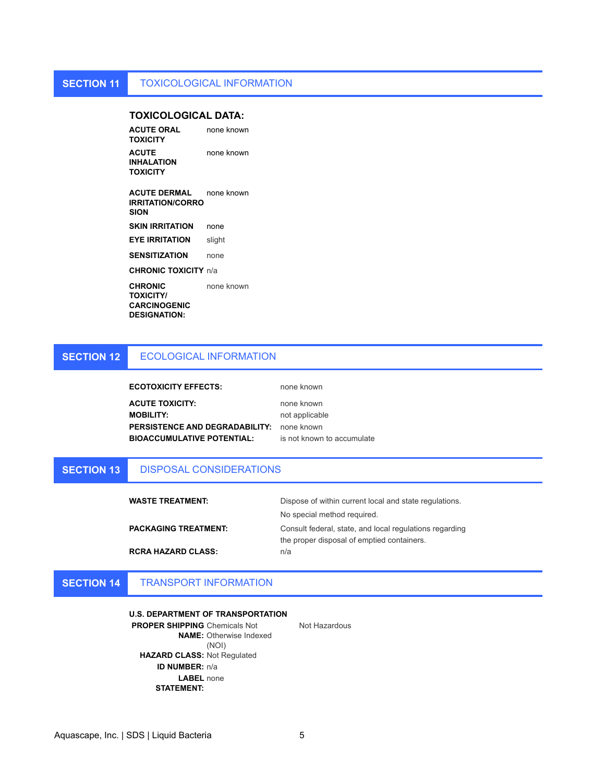# **TOXICOLOGICAL DATA:**

**ACUTE ORAL TOXICITY** none known **ACUTE INHALATION TOXICITY** none known

**ACUTE DERMAL IRRITATION/CORRO SION** none known **SKIN IRRITATION** none

**EYE IRRITATION** slight

**SENSITIZATION** none

**CHRONIC TOXICITY** n/a

**CHRONIC TOXICITY/ CARCINOGENIC DESIGNATION:** none known

#### **SECTION 12** ECOLOGICAL INFORMATION

**ECOTOXICITY EFFECTS:** none known

**ACUTE TOXICITY:** none known **MOBILITY:** not applicable **PERSISTENCE AND DEGRADABILITY:** none known **BIOACCUMULATIVE POTENTIAL:** is not known to accumulate

#### **SECTION 13** DISPOSAL CONSIDERATIONS

| Dispose of within current local and state regulations.  |
|---------------------------------------------------------|
| No special method required.                             |
| Consult federal, state, and local regulations regarding |
| the proper disposal of emptied containers.              |
| n/a                                                     |
|                                                         |

### **SECTION 14** TRANSPORT INFORMATION

# **U.S. DEPARTMENT OF TRANSPORTATION PROPER SHIPPING**  Chemicals Not **NAME:**  Otherwise Indexed (NOI) **HAZARD CLASS:** Not Regulated **ID NUMBER:** n/a **LABEL**  none **STATEMENT:**

Not Hazardous